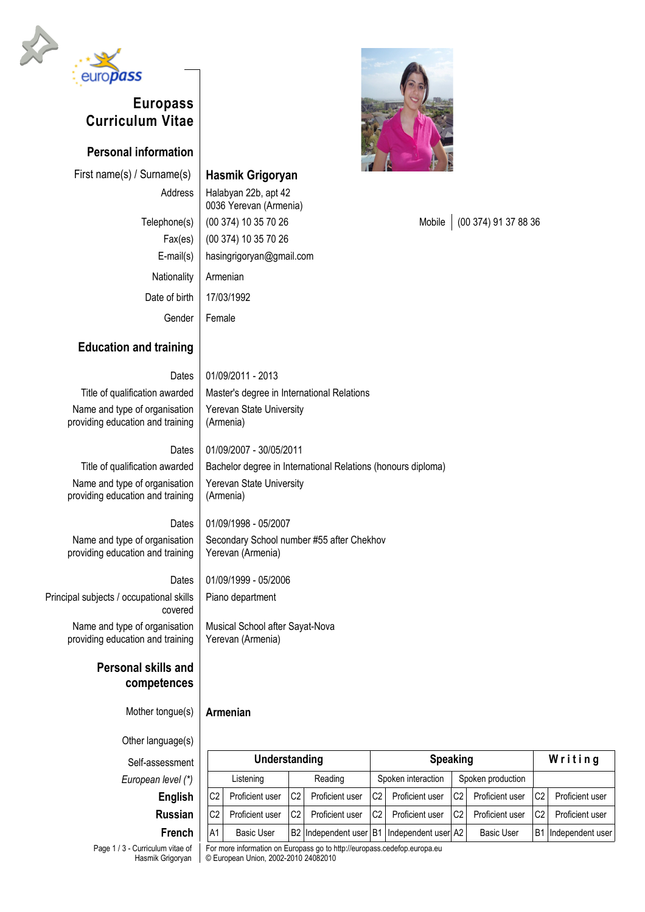

# **Europass Curriculum Vitae**

**Personal information**

First name(s) / Surname(s) **Hasmik Grigoryan** 

Nationality | Armenian Date of birth | 17/03/1992

Address | Halabyan 22b, apt 42 0036 Yerevan (Armenia) Fax(es) (00 374) 10 35 70 26 E-mail(s) hasingrigoryan@gmail.com

# Gender | Female

## **Education and training**

Dates 01/09/2011 - 2013 Title of qualification awarded  $\parallel$  Master's degree in International Relations Name and type of organisation providing education and training

Dates | 01/09/2007 - 30/05/2011

(Armenia)

(Armenia)

Yerevan State University

Yerevan State University

Title of qualification awarded  $\parallel$  Bachelor degree in International Relations (honours diploma) Name and type of organisation providing education and training

#### Dates 01/09/1998 - 05/2007

Name and type of organisation providing education and training Secondary School number #55 after Chekhov Yerevan (Armenia)

Musical School after Sayat-Nova

Dates 01/09/1999 - 05/2006 Piano department

Yerevan (Armenia)

Principal subjects / occupational skills covered Name and type of organisation

providing education and training

### **Personal skills and competences**

Mother tongue(s) **Armenian**

Other language(s)

Self-assessment **Understanding Speaking W r i t i n g** *European level (\*)* | | Listening | Reading | Spoken interaction | Spoken production **English** | C2 Proficient user C2 Proficient user C2 Proficient user C2 Proficient user C2 Proficient user **Russian** | C2 | Proficient user  $|C2|$  Proficient user  $|C2|$  Proficient user  $|C2|$  Proficient user  $|C2|$  Proficient user **French** | A1 | Basic User | B2 | Independent user | B1 | Independent user | A2 | Basic User | B1 | Independent user

Page 1 / 3 - Curriculum vitae of Hasmik Grigoryan

For more information on Europass go to http://europass.cedefop.europa.eu © European Union, 2002-2010 24082010



Telephone(s) | (00 374) 10 35 70 26 Mobile | (00 374) 91 37 88 36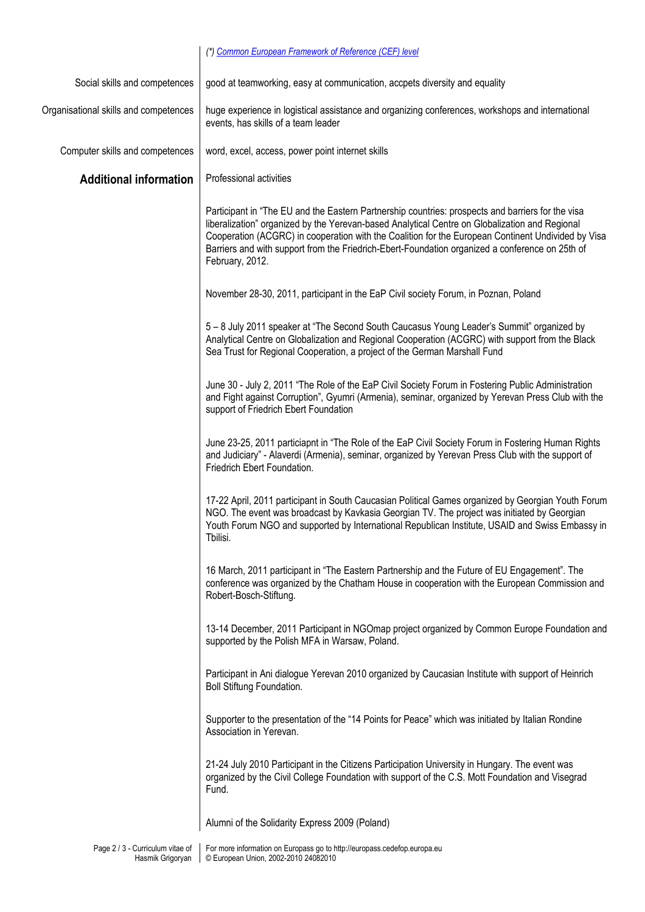#### *(\*) [Common European Framework of Reference \(CEF\) level](http://europass.cedefop.europa.eu/LanguageSelfAssessmentGrid/en)*

| Social skills and competences         | good at teamworking, easy at communication, accpets diversity and equality                                                                                                                                                                                                                                                                                                                                                      |
|---------------------------------------|---------------------------------------------------------------------------------------------------------------------------------------------------------------------------------------------------------------------------------------------------------------------------------------------------------------------------------------------------------------------------------------------------------------------------------|
| Organisational skills and competences | huge experience in logistical assistance and organizing conferences, workshops and international<br>events, has skills of a team leader                                                                                                                                                                                                                                                                                         |
| Computer skills and competences       | word, excel, access, power point internet skills                                                                                                                                                                                                                                                                                                                                                                                |
| <b>Additional information</b>         | Professional activities                                                                                                                                                                                                                                                                                                                                                                                                         |
|                                       | Participant in "The EU and the Eastern Partnership countries: prospects and barriers for the visa<br>liberalization" organized by the Yerevan-based Analytical Centre on Globalization and Regional<br>Cooperation (ACGRC) in cooperation with the Coalition for the European Continent Undivided by Visa<br>Barriers and with support from the Friedrich-Ebert-Foundation organized a conference on 25th of<br>February, 2012. |
|                                       | November 28-30, 2011, participant in the EaP Civil society Forum, in Poznan, Poland                                                                                                                                                                                                                                                                                                                                             |
|                                       | 5 - 8 July 2011 speaker at "The Second South Caucasus Young Leader's Summit" organized by<br>Analytical Centre on Globalization and Regional Cooperation (ACGRC) with support from the Black<br>Sea Trust for Regional Cooperation, a project of the German Marshall Fund                                                                                                                                                       |
|                                       | June 30 - July 2, 2011 "The Role of the EaP Civil Society Forum in Fostering Public Administration<br>and Fight against Corruption", Gyumri (Armenia), seminar, organized by Yerevan Press Club with the<br>support of Friedrich Ebert Foundation                                                                                                                                                                               |
|                                       | June 23-25, 2011 particiapnt in "The Role of the EaP Civil Society Forum in Fostering Human Rights<br>and Judiciary" - Alaverdi (Armenia), seminar, organized by Yerevan Press Club with the support of<br>Friedrich Ebert Foundation.                                                                                                                                                                                          |
|                                       | 17-22 April, 2011 participant in South Caucasian Political Games organized by Georgian Youth Forum<br>NGO. The event was broadcast by Kavkasia Georgian TV. The project was initiated by Georgian<br>Youth Forum NGO and supported by International Republican Institute, USAID and Swiss Embassy in<br>Tbilisi.                                                                                                                |
|                                       | 16 March, 2011 participant in "The Eastern Partnership and the Future of EU Engagement". The<br>conference was organized by the Chatham House in cooperation with the European Commission and<br>Robert-Bosch-Stiftung.                                                                                                                                                                                                         |
|                                       | 13-14 December, 2011 Participant in NGOmap project organized by Common Europe Foundation and<br>supported by the Polish MFA in Warsaw, Poland.                                                                                                                                                                                                                                                                                  |
|                                       | Participant in Ani dialogue Yerevan 2010 organized by Caucasian Institute with support of Heinrich<br>Boll Stiftung Foundation.                                                                                                                                                                                                                                                                                                 |
|                                       | Supporter to the presentation of the "14 Points for Peace" which was initiated by Italian Rondine<br>Association in Yerevan.                                                                                                                                                                                                                                                                                                    |
|                                       | 21-24 July 2010 Participant in the Citizens Participation University in Hungary. The event was<br>organized by the Civil College Foundation with support of the C.S. Mott Foundation and Visegrad<br>Fund.                                                                                                                                                                                                                      |
|                                       | Alumni of the Solidarity Express 2009 (Poland)                                                                                                                                                                                                                                                                                                                                                                                  |